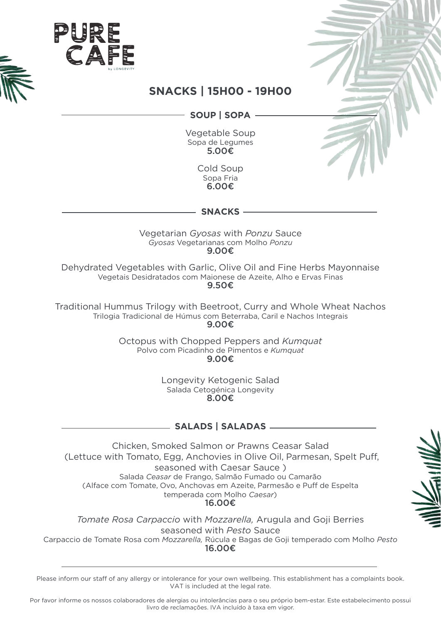



### SOUP | SOPA |

Vegetable Soup Sopa de Legumes 5.00€

> Cold Soup Sopa Fria 6.00€

**Snacks**

Vegetarian *Gyosas* with *Ponzu* Sauce  $Gyosas$  Vegetarianas com Molho Ponzu 9.00€

Dehydrated Vegetables with Garlic, Olive Oil and Fine Herbs Mayonnaise Vegetais Desidratados com Maionese de Azeite. Alho e Ervas Finas 9.50€

Traditional Hummus Trilogy with Beetroot, Curry and Whole Wheat Nachos Trilogia Tradicional de Húmus com Beterraba, Caril e Nachos Integrais 9.00€

> Octopus with Chopped Peppers and Kumquat Polvo com Picadinho de Pimentos e Kumquat 9.00€

> > Longevity Ketogenic Salad Salada Cetogénica Longevity 8.00€

# **Saladas | Salads**

Chicken, Smoked Salmon or Prawns Ceasar Salad (Lettuce with Tomato, Egg, Anchovies in Olive Oil, Parmesan, Spelt Puff, seasoned with Caesar Sauce) Salada Ceasar de Frango, Salmão Fumado ou Camarão (Alface com Tomate, Ovo, Anchovas em Azeite, Parmesão e Puff de Espelta temperada com Molho Caesar) 16.00€

**Tomate Rosa Carpaccio with Mozzarella, Arugula and Goji Berries** seasoned with Pesto Sauce Carpaccio de Tomate Rosa com Mozzarella, Rúcula e Bagas de Goji temperado com Molho Pesto 16.00€



Please inform our staff of any allergy or intolerance for your own wellbeing. This establishment has a complaints book. VAT is included at the legal rate.